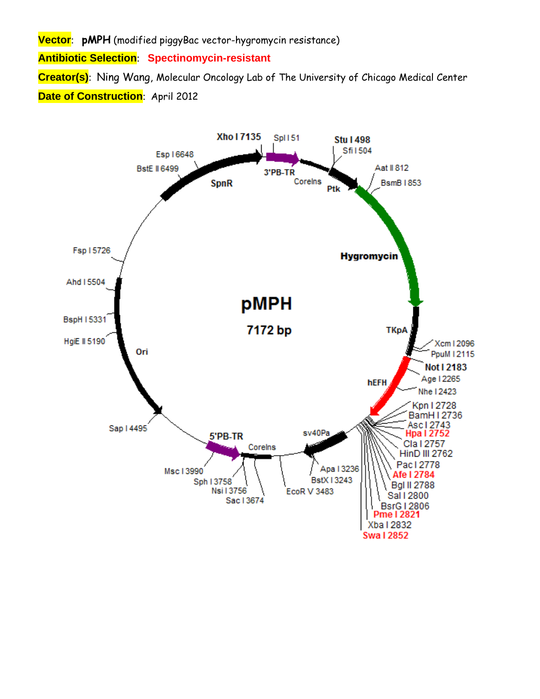**Vector**: **pMPH** (modified piggyBac vector-hygromycin resistance)

**Antibiotic Selection**: **Spectinomycin-resistant** 

**Creator(s)**: Ning Wang, Molecular Oncology Lab of The University of Chicago Medical Center **Date of Construction: April 2012** 

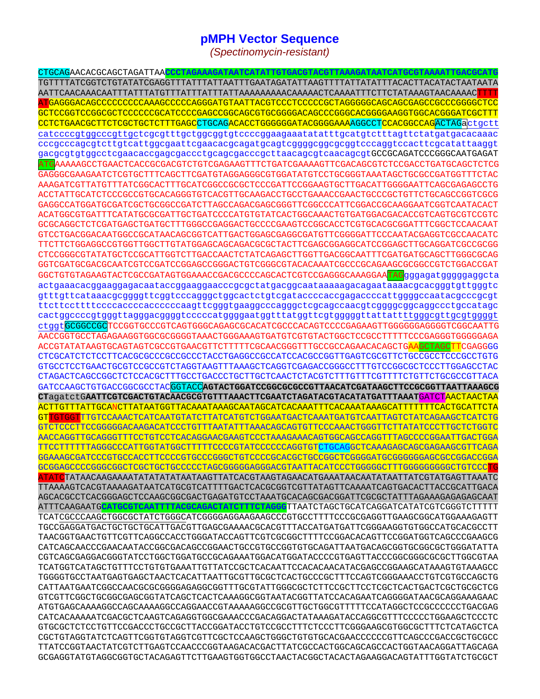## **pMPH Vector Sequence**

(Spectinomycin-resistant)

CTGCAGAACACGCAGCTAGATTAA<mark>CCCTAGAAAGATAATCATATTGTGACGTACGTTAAAGATAATCATGCGTAAAATTGAC</mark>G GCTCCGGTCCGGCGCTCCCCCCGCATCCCCGAGCCGGCAGCGTGCGGGACAGCCCGGGCACGGGGAAGGTGGCACGGGATCGCTTT CCTCTGAACGCTTCTCGCTGCTCTTTGAGCCTGCAGACACCTGGGGGGATACGGGGAAAAGGCCTCCACGGCCAGACTAGactgctt catccccgtggcccgttgctcgcgtttgctggcggtgtccccggaagaaatatatttgcatgtctttagttctatgatgacacaaac cccgcccagcgtcttgtcattggcgaattcgaacacgcagatgcagtcggggcggcggtcccaggtccacttcgcatattaaggt gacgcgtgtggcctcgaacaccgagcgaccctgcagcgacccgcttaacagcgtcaacagcgtGCCGCAGATCCCGGCAATGAGAT ATGAAAAAGCCTGAACTCACCGCGACGTCTGTCGAGAAGTTTCTGATCGAAAAGTTCGACAGCGTCTCCGACCTGATGCAGCTCTCG GAGGGCGAAGAATCTCGTGCTTTCAGCTTCGATGTAGGAGGCCGTGGATATGTCCTGCGGGTAAATAGCTGCGCCGATGGTTTCTAC AAAGATCGTTATGTTTATCGGCACTTTGCATCGGCCGCGCTCCCGATTCCGGAAGTGCTTGACATTGGGGAATTCAGCGAGAGCCTG GAGGCCATGGATGCGATCGCTGCGGCCGATCTTAGCCAGACGAGCGGGTTCGGCCCATTCGGACCGCAAGGAATCGGTCAATACACT GCGCAGGCTCTCGATGAGCTGATGCTTTGGGCCGAGGACTGCCCCGAAGTCCGGCACCTCGTGCACGCGGATTTCGGCTCCAACAAT GTCCTGACGGACAATGGCCGCATAACAGCGGTCATTGACTGGAGCGAGGCGATGTTCGGGGATTCCCAATACGAGGTCGCCAACATC TTCTTCTGGAGGCCGTGGTTGGCTTGTATGGAGCAGCAGACGCGCTACTTCGAGCGGAGGCATCCGGAGCTTGCAGGATCGCCGCGG CTCCGGGCGTATATGCTCCGCATTGGTCTTGACCAACTCTATCAGAGCTTGGTTGACGGCAATTTCGATGATGCAGCTTGGGCGCAG GGTCGATGCGACGCAATCGTCCGATCCGGAGCCGGGACTGTCGGGCGTACACAAATCGCCCGCAGAAGCGCGGCCGTCTGGACCGAT GGCTGTGTAGAAGTACTCGCCGATAGTGGAAACCGACGCCCCAGCACTCGTCCGAGGGCAAAGGAATAGqqqqaqatqqqqqqqcta actgaaacacggaaggagacaataccggaaggaacccgcgctatgacggcaataaaaagacagaataaaacgcacgggtgttgggtc gtttgttcataaacgcggggttcggtcccagggctggcactctgtcgataccccaccgagaccccattggggccaatacgcccgcgt cactggccccgtgggttagggacggggtcccccatggggaatggtttatggttcgtgggggttattattttgggcgttgcgtggggt ctggtGCGGCCGCTCCGGTGCCCGTCAGTGGGCAGAGCGCACATCGCCCACAGTCCCCGAGAAGTTGGGGGGAGGGTCGGCAATTG AACCGGTGCCTAGAGAAGGTGCCGCGGGGTAAACTGGAAAGTGATGTCGTGTACTGGCTCCCCCTTTTTCCCGAGGGTGGGGAGA ACCGTATATAAGTGCAGTAGTCGCCGTGAACGTTCTTTTTCGCAACGGGTTTGCCGCCAGAACACAGCTG<mark>AAGCTAGCTT</mark>CGAGGGG CTCGCATCTCTCCTTCACGCGCCCGCCCCCTACCTGAGGCCGCCATCCACGCCGGTTGAGTCGCGTTCTGCCGCCTCCCGCCTGTG GTGCCTCCTGAACTGCGTCCGCCGTCTAGGTAAGTTTAAAGCTCAGGTCGAGACCGGGCCTTTGTCCGGCGCTCCCTTGGAGCCTAC ACTTGTTTATTGCANCTTATAATGGTTACAAATAAAGCAATAGCATCACAAATTTCACAAATAAAGCATTTTTTTCACTGCATTCTA GTTGTGGTTTGTCCAAACTCATCAATGTATCTTATCATGTCTGGAATGACTCAAATGATGTCAATTAGTCTATCAGAAGCTCATCTG GTCTCCCTTCCGGGGGACAAGACATCCCTGTTTAATATTTAAACAGCAGTGTTCCCAAACTGGGTTCTTATATCCCTTGCTCTGGTC AACCAGGTTGCAGGGTTTCCTGTCCTCACAGGAACGAAGTCCCTAAAGAAACAGTGGCAGCCAGGTTTAGCCCCGGAATTGACTGGA TTCCTTTTTTAGGGCCCATTGGTATGGCTTTTTCCCCCTATCCCCCAGGTGTCTGCAGGCTCAAAGAGCAGCGAGAAGCGTTCAGA GGAAAGCGATCCCGTGCCACCTTCCCCGTGCCCGGGCTGTCCCCGCACGCTGCCGGCTCGGGGATGCGGGGGAGCGCCGGACCGGA <mark>ATATC</mark>TATAACAAGAAAATATATATAATAAGTTATCACGTAAGTAGAACATGAAATAACAATATAATTATCGTATGAGTTAAATC TTAAAAGTCACGTAAAAGATAATCATGCGTCATTTTGACTCACGCGGTCGTTATAGTTCAAAATCAGTGACACTTACCGCATTGACA ATTTCAAGAATGCATGCGTCAATTTTACGCAGACTATCTTTCTAGGGTTAATCTAGCTGCATCAGGATCATATCGTCGGGTCTTTTT TCATCGCCCAAGCTGGCGCTATCTGGGCATCGGGGAGGAAGAAGCCCGTGCCTTTTCCCGCGAGGTTGAAGCGGCATGGAAAGAGTT TGCCGAGGATGACTGCTGCTGCATTGACGTTGAGCGAAAACGCACGTTTACCATGATGATTCGGGAAGGTGTGGCCATGCACGCCTT TAACGGTGAACTGTTCGTTCAGGCCACCTGGGATACCAGTTCGTCGCGGCTTTTCCGGACACAGTTCCGGATGGTCAGCCCGAAGCG CATCAGCAACCCGAACAATACCGGCGACAGCCGGAACTGCCGTGCCGGTGTGCAGATTAATGACAGCGGTGCGGCGCTGGGATATTA TCATGGTCATAGCTGTTTCCTGTGAAATTGTTATCCGCTCACAATTCCACACAACATACGAGCCGGAAGCATAAAGTGTAAAGCC TGGGGTGCCTAATGAGTGAGCTAACTCACATTAATTGCGTTGCGCTCACTGCCCGCTTTCCAGTCGGGAAACCTGTCGTGCCAGCTG CATTAATGAATCGGCCAACGCGCGGGGAGAGGCGGTTTGCGTATTGGGCGCTCTTCCGCTTCCTCGCTCACTGACTCGCTGCCTCG GTCGTTCGGCTGCGGCGAGCGGTATCAGCTCACTCAAGGCGGTAATACGGTTATCCACAGAATCAGGGGATAACGCAGGAAAGAAC ATGTGAGCAAAAGGCCAGCAAAAGGCCAGGAACCGTAAAAAGGCCGCGTTGCTGGCGTTTTTCCATAGGCTCCGCCCCCTGACGAG CATCACAAAAATCGACGCTCAAGTCAGAGGTGGCGAAACCCGACAGGACTATAAAGATACCAGGCGTTTCCCCCTGGAAGCTCCCTC GTGCGCTCTCCTGTTCCGACCCTGCCGCTTACCGGATACCTGTCCGCCTTTCTCCCTTCGGGAAGCGTGGCGCTTTCTCATAGCTCA CGCTGTAGGTATCTCAGTTCGGTGTAGGTCGTTCGCTCCAAGCTGGGCTGTGTGCACGAACCCCCCGTTCAGCCCGACCGCTGCGCC TTATCCGGTAACTATCGTCTTGAGTCCAACCCGGTAAGACACGACTTATCGCCACTGGCAGCCACTGGTAACAGGATTAGCAGA GCGAGGTATGTAGGCGGTGCTACAGAGTTCTTGAAGTGGTGGCCTAACTACGGCTACACTAGAAGGACAGTATTTGGTATCTGCGCT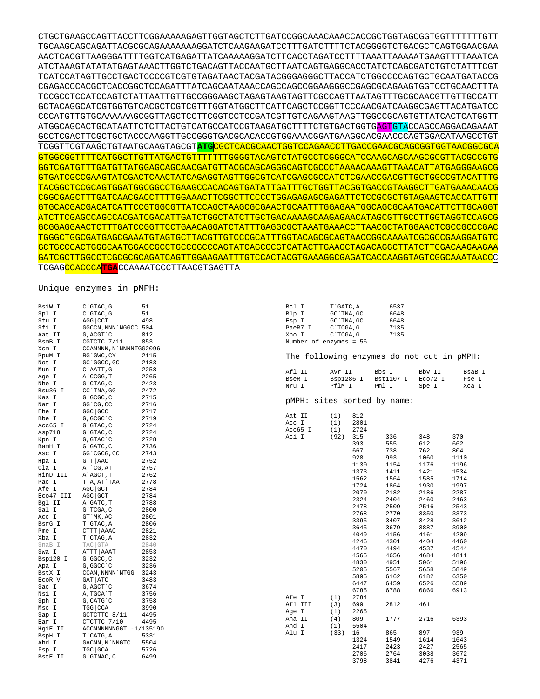CTGCTGAAGCCAGTTACCTTCGGAAAAAGAGTTGGTAGCTCTTGATCCGGCAAACAAACCACCGCTGGTAGCGGTGGTTTTTTTGTT TGCAAGCAGCAGATTACGCGCAGAAAAAAAGGATCTCAAGAAGATCCTTTGATCTTTTCTACGGGGTCTGACGCTCAGTGGAACGAA AACTCACGTTAAGGGATTTTGGTCATGAGATTATCAAAAAGGATCTTCACCTAGATCCTTTTAAATTAAAAATGAAGTTTTAAATCA ATCTAAAGTATATATGAGTAAACTTGGTCTGACAGTTACCAATGCTTAATCAGTGAGGCACCTATCTCAGCGATCTGTCTATTTCGT TCATCCATAGTTGCCTGACTCCCCGTCGTGTAGATAACTACGATACGGGAGGGCTTACCATCTGGCCCCAGTGCTGCAATGATACCG CGAGACCCACGCTCACCGGCTCCAGATTTATCAGCAATAAACCAGCCAGCCGGAAGGGCCGAGCGCAGAAGTGGTCCTGCAACTTTA TCCGCCTCCATCCAGTCTATTAATTGTTGCCGGGAAGCTAGAGTAAGTAGTTCGCCAGTTAATAGTTTGCGCAACGTTGTTGCCATT GCTACAGGCATCGTGGTGTCACGCTCGTCGTTTGGTATGGCTTCATTCAGCTCCGGTTCCCAACGATCAAGGCGAGTTACATGATCC CCCATGTTGTGCAAAAAAGCGGTTAGCTCCTTCGGTCCTCCGATCGTTGTCAGAAGTAAGTTGGCCGCAGTGTTATCACTCATGGTT ATGGCAGCACTGCATAATTCTCTTACTGTCATGCCATCCGTAAGATGCTTTTCTGTGACTGGTGAGTGTACCAGCCAGGACAGAAAT GCCTCGACTTCGCTGCTACCCAAGGTTGCCGGGTGACGCACACCGTGGAAACGGATGAAGGCACGAACCCAGTGGACATAAGCCTGT TCGGTTCGTAAGCTGTAATGCAAGTAGCGT**ATG**CGCTCACGCAACTGGTCCAGAACCTTGACCGAACGCAGCGGTGGTAACGGCGCA GTGGCGGTTTTCATGGCTTGTTATGACTGTTTTTTTGGGGTACAGTCTATGCCTCGGGCATCCAAGCAGCAAGCGCGTTACGCCGTG GGTCGATGTTTGATGTTATGGAGCAGCAACGATGTTACGCAGCAGGGCAGTCGCCCTAAAACAAAGTTAAACATTATGAGGGAAGCG GTGATCGCCGAAGTATCGACTCAACTATCAGAGGTAGTTGGCGTCATCGAGCGCCATCTCGAACCGACGTTGCTGGCCGTACATTTG TACGGCTCCGCAGTGGATGGCGGCCTGAAGCCACACAGTGATATTGATTTGCTGGTTACGGTGACCGTAAGGCTTGATGAAACAACG CGGCGAGCTTTGATCAACGACCTTTTGGAAACTTCGGCTTCCCCTGGAGAGAGCGAGATTCTCCGCGCTGTAGAAGTCACCATTGTT GTGCACGACGACATCATTCCGTGGCGTTATCCAGCTAAGCGCGAACTGCAATTTGGAGAATGGCAGCGCAATGACATTCTTGCAGGT ATCTTCGAGCCAGCCACGATCGACATTGATCTGGCTATCTTGCTGACAAAAGCAAGAGAACATAGCGTTGCCTTGGTAGGTCCAGCG GCGGAGGAACTCTTTGATCCGGTTCCTGAACAGGATCTATTTGAGGCGCTAAATGAAACCTTAACGCTATGGAACTCGCCGCCCGAC TGGGCTGGCGATGAGCGAAATGTAGTGCTTACGTTGTCCCGCATTTGGTACAGCGCAGTAACCGGCAAAATCGCGCCGAAGGATGTC GCTGCCGACTGGGCAATGGAGCGCCTGCCGGCCCAGTATCAGCCCGTCATACTTGAAGCTAGACAGGCTTATCTTGGACAAGAAGAA GATCGCTTGGCCTCGCGCGCAGATCAGTTGGAAGAATTTGTCCACTACGTGAAAGGCGAGATCACCAAGGTAGTCGGCAAATAACCC TCGAGCCACCCA**TGA**CCAAAATCCCTTAACGTGAGTTA

## Unique enzymes in pMPH:

| 6537<br>BsiW I<br>C`GTAC, G<br>51<br>Bcl I<br>T`GATC, A<br>Spl I<br>C`GTAC, G<br>51<br>Blp I<br>GC `TNA, GC<br>6648<br>Stu I<br>AGG CCT<br>498<br>6648<br>Esp I<br>GC `TNA, GC<br>Sfi I<br>GGCCN, NNN NGGCC 504<br>PaeR7 I<br>7135<br>C`TCGA, G<br>812<br>7135<br>Aat II<br>G, ACGT `C<br>Xho I<br>C`TCGA, G<br>853<br>Number of enzymes = 56<br>BsmB I<br>CGTCTC 7/11<br>Xcm I<br>CCANNNN, N `NNNNTGG2096<br>PpuM I<br>RG`GWC, CY<br>2115<br>The following enzymes do not cut in pMPH:<br>2183<br>Not I<br>GC `GGCC, GC<br>2258<br>C`AATT, G<br>Mun I<br>Afl II<br>Avr II<br>Bbs I<br>BsaB I<br>Bbv II<br>Age I<br>A`CCGG, T<br>2265<br>BseR I<br>Bsp1286 I<br>Bst1107 I<br>Eco72 I<br>Fse I<br>2423<br>Nhe I<br>$G$ $CTAG$ , $C$<br>PflM I<br>Pml I<br>Nru I<br>Spe I<br>Xca I<br>Bsu36 I<br>2472<br>CC TNA, GG<br>2715<br>Kas I<br>G`GCGC, C<br>pMPH: sites sorted by name:<br>Nar I<br>GG CG, CC<br>2716<br>2717<br>Ehe I<br>GGC GCC<br>812<br>Aat II<br>(1)<br>2719<br>G, GCGC `C<br>Bbe I<br>Acc I<br>2801<br>(1)<br>2724<br>Acc65 I<br>G`GTAC, C<br>Acc65 I<br>2724<br>(1)<br>2724<br>Asp718<br>$G$ $GTAC$ , $C$<br>Aci I<br>315<br>370<br>(92)<br>336<br>348<br>$G$ , $GTAG^{\dagger}C$<br>2728<br>Kpn I<br>393<br>555<br>612<br>662<br>2736<br>BamH I<br>G`GATC, C<br>667<br>762<br>804<br>738<br>2743<br>Asc I<br>GG`CGCG, CC<br>928<br>1060<br>993<br>1110<br>GTT AAC<br>2752<br>Hpa I<br>1130<br>1154<br>1176<br>1196<br>2757<br>Cla I<br>AT CG, AT<br>1373<br>1421<br>1411<br>1534<br>2762<br>HinD III<br>A`AGCT, T<br>1562<br>1585<br>1564<br>1714<br>2778<br>TTA, AT`TAA<br>Pac I<br>1724<br>1864<br>1930<br>1997<br>AGC GCT<br>2784<br>Afe I<br>2070<br>2186<br>2182<br>2287<br>Eco47 III<br>AGC GCT<br>2784<br>2324<br>2460<br>2463<br>2404<br>Bgl II<br>2788<br>A GATC, T<br>2478<br>2509<br>2516<br>2543<br>2800<br>Sal I<br>G`TCGA, C<br>2768<br>3350<br>2770<br>3373<br>Acc I<br>GT `MK, AC<br>2801<br>3395<br>3407<br>3428<br>3612<br>2806<br>BsrG I<br>T`GTAC, A<br>3645<br>3679<br>3887<br>3900<br>2821<br>Pme I<br>CTTT AAAC<br>4049<br>4156<br>4209<br>4161<br>2832<br>Xba I<br>T CTAG, A<br>4246<br>4301<br>4404<br>4460<br>TAC GTA<br>2840<br>SnaB I<br>4470<br>4537<br>4544<br>4494<br>ATTT AAAT<br>2853<br>Swa I<br>4565<br>4656<br>4684<br>4811<br>3232<br>Bsp120 I<br>G`GGCC, C<br>4830<br>5061<br>5196<br>4951<br>3236<br>G, GGCC `C<br>Apa I<br>5205<br>5567<br>5658<br>5849<br>3243<br>BstX I<br>CCAN, NNNN `NTGG<br>5895<br>6162<br>6182<br>6350<br>ECOR V<br>GAT ATC<br>3483<br>6459<br>6526<br>6447<br>6589<br>Sac I<br>G, AGCT `C<br>3674<br>6785<br>6788<br>6866<br>6913<br>Nsi I<br>3756<br>A, TGCA`T<br>Afe I<br>2784<br>(1)<br>3758<br>G, CATG C<br>Sph I<br>4611<br>Afl III<br>699<br>2812<br>(3)<br>TGG   CCA<br>3990<br>Msc I<br>2265<br>Age I<br>(1)<br>Sap I<br>GCTCTTC 8/11<br>4495<br>1777<br>2716<br>6393<br>(4)<br>809<br>Aha II<br>Ear I<br>CTCTTC 7/10<br>4495 |  |       |     |      |  |  |
|----------------------------------------------------------------------------------------------------------------------------------------------------------------------------------------------------------------------------------------------------------------------------------------------------------------------------------------------------------------------------------------------------------------------------------------------------------------------------------------------------------------------------------------------------------------------------------------------------------------------------------------------------------------------------------------------------------------------------------------------------------------------------------------------------------------------------------------------------------------------------------------------------------------------------------------------------------------------------------------------------------------------------------------------------------------------------------------------------------------------------------------------------------------------------------------------------------------------------------------------------------------------------------------------------------------------------------------------------------------------------------------------------------------------------------------------------------------------------------------------------------------------------------------------------------------------------------------------------------------------------------------------------------------------------------------------------------------------------------------------------------------------------------------------------------------------------------------------------------------------------------------------------------------------------------------------------------------------------------------------------------------------------------------------------------------------------------------------------------------------------------------------------------------------------------------------------------------------------------------------------------------------------------------------------------------------------------------------------------------------------------------------------------------------------------------------------------------------------------------------------------------------------------------------------------------------------------------------------------------------------------------------------------------------------------------------------------------------------------------------------------------------------------------------------------------------------------------------------------------------------------------------------------------------|--|-------|-----|------|--|--|
|                                                                                                                                                                                                                                                                                                                                                                                                                                                                                                                                                                                                                                                                                                                                                                                                                                                                                                                                                                                                                                                                                                                                                                                                                                                                                                                                                                                                                                                                                                                                                                                                                                                                                                                                                                                                                                                                                                                                                                                                                                                                                                                                                                                                                                                                                                                                                                                                                                                                                                                                                                                                                                                                                                                                                                                                                                                                                                                      |  |       |     |      |  |  |
|                                                                                                                                                                                                                                                                                                                                                                                                                                                                                                                                                                                                                                                                                                                                                                                                                                                                                                                                                                                                                                                                                                                                                                                                                                                                                                                                                                                                                                                                                                                                                                                                                                                                                                                                                                                                                                                                                                                                                                                                                                                                                                                                                                                                                                                                                                                                                                                                                                                                                                                                                                                                                                                                                                                                                                                                                                                                                                                      |  |       |     |      |  |  |
|                                                                                                                                                                                                                                                                                                                                                                                                                                                                                                                                                                                                                                                                                                                                                                                                                                                                                                                                                                                                                                                                                                                                                                                                                                                                                                                                                                                                                                                                                                                                                                                                                                                                                                                                                                                                                                                                                                                                                                                                                                                                                                                                                                                                                                                                                                                                                                                                                                                                                                                                                                                                                                                                                                                                                                                                                                                                                                                      |  |       |     |      |  |  |
|                                                                                                                                                                                                                                                                                                                                                                                                                                                                                                                                                                                                                                                                                                                                                                                                                                                                                                                                                                                                                                                                                                                                                                                                                                                                                                                                                                                                                                                                                                                                                                                                                                                                                                                                                                                                                                                                                                                                                                                                                                                                                                                                                                                                                                                                                                                                                                                                                                                                                                                                                                                                                                                                                                                                                                                                                                                                                                                      |  |       |     |      |  |  |
|                                                                                                                                                                                                                                                                                                                                                                                                                                                                                                                                                                                                                                                                                                                                                                                                                                                                                                                                                                                                                                                                                                                                                                                                                                                                                                                                                                                                                                                                                                                                                                                                                                                                                                                                                                                                                                                                                                                                                                                                                                                                                                                                                                                                                                                                                                                                                                                                                                                                                                                                                                                                                                                                                                                                                                                                                                                                                                                      |  |       |     |      |  |  |
|                                                                                                                                                                                                                                                                                                                                                                                                                                                                                                                                                                                                                                                                                                                                                                                                                                                                                                                                                                                                                                                                                                                                                                                                                                                                                                                                                                                                                                                                                                                                                                                                                                                                                                                                                                                                                                                                                                                                                                                                                                                                                                                                                                                                                                                                                                                                                                                                                                                                                                                                                                                                                                                                                                                                                                                                                                                                                                                      |  |       |     |      |  |  |
|                                                                                                                                                                                                                                                                                                                                                                                                                                                                                                                                                                                                                                                                                                                                                                                                                                                                                                                                                                                                                                                                                                                                                                                                                                                                                                                                                                                                                                                                                                                                                                                                                                                                                                                                                                                                                                                                                                                                                                                                                                                                                                                                                                                                                                                                                                                                                                                                                                                                                                                                                                                                                                                                                                                                                                                                                                                                                                                      |  |       |     |      |  |  |
|                                                                                                                                                                                                                                                                                                                                                                                                                                                                                                                                                                                                                                                                                                                                                                                                                                                                                                                                                                                                                                                                                                                                                                                                                                                                                                                                                                                                                                                                                                                                                                                                                                                                                                                                                                                                                                                                                                                                                                                                                                                                                                                                                                                                                                                                                                                                                                                                                                                                                                                                                                                                                                                                                                                                                                                                                                                                                                                      |  |       |     |      |  |  |
|                                                                                                                                                                                                                                                                                                                                                                                                                                                                                                                                                                                                                                                                                                                                                                                                                                                                                                                                                                                                                                                                                                                                                                                                                                                                                                                                                                                                                                                                                                                                                                                                                                                                                                                                                                                                                                                                                                                                                                                                                                                                                                                                                                                                                                                                                                                                                                                                                                                                                                                                                                                                                                                                                                                                                                                                                                                                                                                      |  |       |     |      |  |  |
|                                                                                                                                                                                                                                                                                                                                                                                                                                                                                                                                                                                                                                                                                                                                                                                                                                                                                                                                                                                                                                                                                                                                                                                                                                                                                                                                                                                                                                                                                                                                                                                                                                                                                                                                                                                                                                                                                                                                                                                                                                                                                                                                                                                                                                                                                                                                                                                                                                                                                                                                                                                                                                                                                                                                                                                                                                                                                                                      |  |       |     |      |  |  |
|                                                                                                                                                                                                                                                                                                                                                                                                                                                                                                                                                                                                                                                                                                                                                                                                                                                                                                                                                                                                                                                                                                                                                                                                                                                                                                                                                                                                                                                                                                                                                                                                                                                                                                                                                                                                                                                                                                                                                                                                                                                                                                                                                                                                                                                                                                                                                                                                                                                                                                                                                                                                                                                                                                                                                                                                                                                                                                                      |  |       |     |      |  |  |
|                                                                                                                                                                                                                                                                                                                                                                                                                                                                                                                                                                                                                                                                                                                                                                                                                                                                                                                                                                                                                                                                                                                                                                                                                                                                                                                                                                                                                                                                                                                                                                                                                                                                                                                                                                                                                                                                                                                                                                                                                                                                                                                                                                                                                                                                                                                                                                                                                                                                                                                                                                                                                                                                                                                                                                                                                                                                                                                      |  |       |     |      |  |  |
|                                                                                                                                                                                                                                                                                                                                                                                                                                                                                                                                                                                                                                                                                                                                                                                                                                                                                                                                                                                                                                                                                                                                                                                                                                                                                                                                                                                                                                                                                                                                                                                                                                                                                                                                                                                                                                                                                                                                                                                                                                                                                                                                                                                                                                                                                                                                                                                                                                                                                                                                                                                                                                                                                                                                                                                                                                                                                                                      |  |       |     |      |  |  |
|                                                                                                                                                                                                                                                                                                                                                                                                                                                                                                                                                                                                                                                                                                                                                                                                                                                                                                                                                                                                                                                                                                                                                                                                                                                                                                                                                                                                                                                                                                                                                                                                                                                                                                                                                                                                                                                                                                                                                                                                                                                                                                                                                                                                                                                                                                                                                                                                                                                                                                                                                                                                                                                                                                                                                                                                                                                                                                                      |  |       |     |      |  |  |
|                                                                                                                                                                                                                                                                                                                                                                                                                                                                                                                                                                                                                                                                                                                                                                                                                                                                                                                                                                                                                                                                                                                                                                                                                                                                                                                                                                                                                                                                                                                                                                                                                                                                                                                                                                                                                                                                                                                                                                                                                                                                                                                                                                                                                                                                                                                                                                                                                                                                                                                                                                                                                                                                                                                                                                                                                                                                                                                      |  |       |     |      |  |  |
|                                                                                                                                                                                                                                                                                                                                                                                                                                                                                                                                                                                                                                                                                                                                                                                                                                                                                                                                                                                                                                                                                                                                                                                                                                                                                                                                                                                                                                                                                                                                                                                                                                                                                                                                                                                                                                                                                                                                                                                                                                                                                                                                                                                                                                                                                                                                                                                                                                                                                                                                                                                                                                                                                                                                                                                                                                                                                                                      |  |       |     |      |  |  |
|                                                                                                                                                                                                                                                                                                                                                                                                                                                                                                                                                                                                                                                                                                                                                                                                                                                                                                                                                                                                                                                                                                                                                                                                                                                                                                                                                                                                                                                                                                                                                                                                                                                                                                                                                                                                                                                                                                                                                                                                                                                                                                                                                                                                                                                                                                                                                                                                                                                                                                                                                                                                                                                                                                                                                                                                                                                                                                                      |  |       |     |      |  |  |
|                                                                                                                                                                                                                                                                                                                                                                                                                                                                                                                                                                                                                                                                                                                                                                                                                                                                                                                                                                                                                                                                                                                                                                                                                                                                                                                                                                                                                                                                                                                                                                                                                                                                                                                                                                                                                                                                                                                                                                                                                                                                                                                                                                                                                                                                                                                                                                                                                                                                                                                                                                                                                                                                                                                                                                                                                                                                                                                      |  |       |     |      |  |  |
|                                                                                                                                                                                                                                                                                                                                                                                                                                                                                                                                                                                                                                                                                                                                                                                                                                                                                                                                                                                                                                                                                                                                                                                                                                                                                                                                                                                                                                                                                                                                                                                                                                                                                                                                                                                                                                                                                                                                                                                                                                                                                                                                                                                                                                                                                                                                                                                                                                                                                                                                                                                                                                                                                                                                                                                                                                                                                                                      |  |       |     |      |  |  |
|                                                                                                                                                                                                                                                                                                                                                                                                                                                                                                                                                                                                                                                                                                                                                                                                                                                                                                                                                                                                                                                                                                                                                                                                                                                                                                                                                                                                                                                                                                                                                                                                                                                                                                                                                                                                                                                                                                                                                                                                                                                                                                                                                                                                                                                                                                                                                                                                                                                                                                                                                                                                                                                                                                                                                                                                                                                                                                                      |  |       |     |      |  |  |
|                                                                                                                                                                                                                                                                                                                                                                                                                                                                                                                                                                                                                                                                                                                                                                                                                                                                                                                                                                                                                                                                                                                                                                                                                                                                                                                                                                                                                                                                                                                                                                                                                                                                                                                                                                                                                                                                                                                                                                                                                                                                                                                                                                                                                                                                                                                                                                                                                                                                                                                                                                                                                                                                                                                                                                                                                                                                                                                      |  |       |     |      |  |  |
|                                                                                                                                                                                                                                                                                                                                                                                                                                                                                                                                                                                                                                                                                                                                                                                                                                                                                                                                                                                                                                                                                                                                                                                                                                                                                                                                                                                                                                                                                                                                                                                                                                                                                                                                                                                                                                                                                                                                                                                                                                                                                                                                                                                                                                                                                                                                                                                                                                                                                                                                                                                                                                                                                                                                                                                                                                                                                                                      |  |       |     |      |  |  |
|                                                                                                                                                                                                                                                                                                                                                                                                                                                                                                                                                                                                                                                                                                                                                                                                                                                                                                                                                                                                                                                                                                                                                                                                                                                                                                                                                                                                                                                                                                                                                                                                                                                                                                                                                                                                                                                                                                                                                                                                                                                                                                                                                                                                                                                                                                                                                                                                                                                                                                                                                                                                                                                                                                                                                                                                                                                                                                                      |  |       |     |      |  |  |
|                                                                                                                                                                                                                                                                                                                                                                                                                                                                                                                                                                                                                                                                                                                                                                                                                                                                                                                                                                                                                                                                                                                                                                                                                                                                                                                                                                                                                                                                                                                                                                                                                                                                                                                                                                                                                                                                                                                                                                                                                                                                                                                                                                                                                                                                                                                                                                                                                                                                                                                                                                                                                                                                                                                                                                                                                                                                                                                      |  |       |     |      |  |  |
|                                                                                                                                                                                                                                                                                                                                                                                                                                                                                                                                                                                                                                                                                                                                                                                                                                                                                                                                                                                                                                                                                                                                                                                                                                                                                                                                                                                                                                                                                                                                                                                                                                                                                                                                                                                                                                                                                                                                                                                                                                                                                                                                                                                                                                                                                                                                                                                                                                                                                                                                                                                                                                                                                                                                                                                                                                                                                                                      |  |       |     |      |  |  |
|                                                                                                                                                                                                                                                                                                                                                                                                                                                                                                                                                                                                                                                                                                                                                                                                                                                                                                                                                                                                                                                                                                                                                                                                                                                                                                                                                                                                                                                                                                                                                                                                                                                                                                                                                                                                                                                                                                                                                                                                                                                                                                                                                                                                                                                                                                                                                                                                                                                                                                                                                                                                                                                                                                                                                                                                                                                                                                                      |  |       |     |      |  |  |
|                                                                                                                                                                                                                                                                                                                                                                                                                                                                                                                                                                                                                                                                                                                                                                                                                                                                                                                                                                                                                                                                                                                                                                                                                                                                                                                                                                                                                                                                                                                                                                                                                                                                                                                                                                                                                                                                                                                                                                                                                                                                                                                                                                                                                                                                                                                                                                                                                                                                                                                                                                                                                                                                                                                                                                                                                                                                                                                      |  |       |     |      |  |  |
|                                                                                                                                                                                                                                                                                                                                                                                                                                                                                                                                                                                                                                                                                                                                                                                                                                                                                                                                                                                                                                                                                                                                                                                                                                                                                                                                                                                                                                                                                                                                                                                                                                                                                                                                                                                                                                                                                                                                                                                                                                                                                                                                                                                                                                                                                                                                                                                                                                                                                                                                                                                                                                                                                                                                                                                                                                                                                                                      |  |       |     |      |  |  |
|                                                                                                                                                                                                                                                                                                                                                                                                                                                                                                                                                                                                                                                                                                                                                                                                                                                                                                                                                                                                                                                                                                                                                                                                                                                                                                                                                                                                                                                                                                                                                                                                                                                                                                                                                                                                                                                                                                                                                                                                                                                                                                                                                                                                                                                                                                                                                                                                                                                                                                                                                                                                                                                                                                                                                                                                                                                                                                                      |  |       |     |      |  |  |
|                                                                                                                                                                                                                                                                                                                                                                                                                                                                                                                                                                                                                                                                                                                                                                                                                                                                                                                                                                                                                                                                                                                                                                                                                                                                                                                                                                                                                                                                                                                                                                                                                                                                                                                                                                                                                                                                                                                                                                                                                                                                                                                                                                                                                                                                                                                                                                                                                                                                                                                                                                                                                                                                                                                                                                                                                                                                                                                      |  |       |     |      |  |  |
|                                                                                                                                                                                                                                                                                                                                                                                                                                                                                                                                                                                                                                                                                                                                                                                                                                                                                                                                                                                                                                                                                                                                                                                                                                                                                                                                                                                                                                                                                                                                                                                                                                                                                                                                                                                                                                                                                                                                                                                                                                                                                                                                                                                                                                                                                                                                                                                                                                                                                                                                                                                                                                                                                                                                                                                                                                                                                                                      |  |       |     |      |  |  |
|                                                                                                                                                                                                                                                                                                                                                                                                                                                                                                                                                                                                                                                                                                                                                                                                                                                                                                                                                                                                                                                                                                                                                                                                                                                                                                                                                                                                                                                                                                                                                                                                                                                                                                                                                                                                                                                                                                                                                                                                                                                                                                                                                                                                                                                                                                                                                                                                                                                                                                                                                                                                                                                                                                                                                                                                                                                                                                                      |  |       |     |      |  |  |
|                                                                                                                                                                                                                                                                                                                                                                                                                                                                                                                                                                                                                                                                                                                                                                                                                                                                                                                                                                                                                                                                                                                                                                                                                                                                                                                                                                                                                                                                                                                                                                                                                                                                                                                                                                                                                                                                                                                                                                                                                                                                                                                                                                                                                                                                                                                                                                                                                                                                                                                                                                                                                                                                                                                                                                                                                                                                                                                      |  |       |     |      |  |  |
|                                                                                                                                                                                                                                                                                                                                                                                                                                                                                                                                                                                                                                                                                                                                                                                                                                                                                                                                                                                                                                                                                                                                                                                                                                                                                                                                                                                                                                                                                                                                                                                                                                                                                                                                                                                                                                                                                                                                                                                                                                                                                                                                                                                                                                                                                                                                                                                                                                                                                                                                                                                                                                                                                                                                                                                                                                                                                                                      |  |       |     |      |  |  |
|                                                                                                                                                                                                                                                                                                                                                                                                                                                                                                                                                                                                                                                                                                                                                                                                                                                                                                                                                                                                                                                                                                                                                                                                                                                                                                                                                                                                                                                                                                                                                                                                                                                                                                                                                                                                                                                                                                                                                                                                                                                                                                                                                                                                                                                                                                                                                                                                                                                                                                                                                                                                                                                                                                                                                                                                                                                                                                                      |  |       |     |      |  |  |
|                                                                                                                                                                                                                                                                                                                                                                                                                                                                                                                                                                                                                                                                                                                                                                                                                                                                                                                                                                                                                                                                                                                                                                                                                                                                                                                                                                                                                                                                                                                                                                                                                                                                                                                                                                                                                                                                                                                                                                                                                                                                                                                                                                                                                                                                                                                                                                                                                                                                                                                                                                                                                                                                                                                                                                                                                                                                                                                      |  |       |     |      |  |  |
|                                                                                                                                                                                                                                                                                                                                                                                                                                                                                                                                                                                                                                                                                                                                                                                                                                                                                                                                                                                                                                                                                                                                                                                                                                                                                                                                                                                                                                                                                                                                                                                                                                                                                                                                                                                                                                                                                                                                                                                                                                                                                                                                                                                                                                                                                                                                                                                                                                                                                                                                                                                                                                                                                                                                                                                                                                                                                                                      |  |       |     |      |  |  |
|                                                                                                                                                                                                                                                                                                                                                                                                                                                                                                                                                                                                                                                                                                                                                                                                                                                                                                                                                                                                                                                                                                                                                                                                                                                                                                                                                                                                                                                                                                                                                                                                                                                                                                                                                                                                                                                                                                                                                                                                                                                                                                                                                                                                                                                                                                                                                                                                                                                                                                                                                                                                                                                                                                                                                                                                                                                                                                                      |  |       |     |      |  |  |
|                                                                                                                                                                                                                                                                                                                                                                                                                                                                                                                                                                                                                                                                                                                                                                                                                                                                                                                                                                                                                                                                                                                                                                                                                                                                                                                                                                                                                                                                                                                                                                                                                                                                                                                                                                                                                                                                                                                                                                                                                                                                                                                                                                                                                                                                                                                                                                                                                                                                                                                                                                                                                                                                                                                                                                                                                                                                                                                      |  |       |     |      |  |  |
|                                                                                                                                                                                                                                                                                                                                                                                                                                                                                                                                                                                                                                                                                                                                                                                                                                                                                                                                                                                                                                                                                                                                                                                                                                                                                                                                                                                                                                                                                                                                                                                                                                                                                                                                                                                                                                                                                                                                                                                                                                                                                                                                                                                                                                                                                                                                                                                                                                                                                                                                                                                                                                                                                                                                                                                                                                                                                                                      |  |       |     |      |  |  |
|                                                                                                                                                                                                                                                                                                                                                                                                                                                                                                                                                                                                                                                                                                                                                                                                                                                                                                                                                                                                                                                                                                                                                                                                                                                                                                                                                                                                                                                                                                                                                                                                                                                                                                                                                                                                                                                                                                                                                                                                                                                                                                                                                                                                                                                                                                                                                                                                                                                                                                                                                                                                                                                                                                                                                                                                                                                                                                                      |  |       |     |      |  |  |
|                                                                                                                                                                                                                                                                                                                                                                                                                                                                                                                                                                                                                                                                                                                                                                                                                                                                                                                                                                                                                                                                                                                                                                                                                                                                                                                                                                                                                                                                                                                                                                                                                                                                                                                                                                                                                                                                                                                                                                                                                                                                                                                                                                                                                                                                                                                                                                                                                                                                                                                                                                                                                                                                                                                                                                                                                                                                                                                      |  |       |     |      |  |  |
|                                                                                                                                                                                                                                                                                                                                                                                                                                                                                                                                                                                                                                                                                                                                                                                                                                                                                                                                                                                                                                                                                                                                                                                                                                                                                                                                                                                                                                                                                                                                                                                                                                                                                                                                                                                                                                                                                                                                                                                                                                                                                                                                                                                                                                                                                                                                                                                                                                                                                                                                                                                                                                                                                                                                                                                                                                                                                                                      |  |       |     |      |  |  |
|                                                                                                                                                                                                                                                                                                                                                                                                                                                                                                                                                                                                                                                                                                                                                                                                                                                                                                                                                                                                                                                                                                                                                                                                                                                                                                                                                                                                                                                                                                                                                                                                                                                                                                                                                                                                                                                                                                                                                                                                                                                                                                                                                                                                                                                                                                                                                                                                                                                                                                                                                                                                                                                                                                                                                                                                                                                                                                                      |  |       |     |      |  |  |
|                                                                                                                                                                                                                                                                                                                                                                                                                                                                                                                                                                                                                                                                                                                                                                                                                                                                                                                                                                                                                                                                                                                                                                                                                                                                                                                                                                                                                                                                                                                                                                                                                                                                                                                                                                                                                                                                                                                                                                                                                                                                                                                                                                                                                                                                                                                                                                                                                                                                                                                                                                                                                                                                                                                                                                                                                                                                                                                      |  |       |     |      |  |  |
|                                                                                                                                                                                                                                                                                                                                                                                                                                                                                                                                                                                                                                                                                                                                                                                                                                                                                                                                                                                                                                                                                                                                                                                                                                                                                                                                                                                                                                                                                                                                                                                                                                                                                                                                                                                                                                                                                                                                                                                                                                                                                                                                                                                                                                                                                                                                                                                                                                                                                                                                                                                                                                                                                                                                                                                                                                                                                                                      |  |       |     |      |  |  |
|                                                                                                                                                                                                                                                                                                                                                                                                                                                                                                                                                                                                                                                                                                                                                                                                                                                                                                                                                                                                                                                                                                                                                                                                                                                                                                                                                                                                                                                                                                                                                                                                                                                                                                                                                                                                                                                                                                                                                                                                                                                                                                                                                                                                                                                                                                                                                                                                                                                                                                                                                                                                                                                                                                                                                                                                                                                                                                                      |  |       |     |      |  |  |
|                                                                                                                                                                                                                                                                                                                                                                                                                                                                                                                                                                                                                                                                                                                                                                                                                                                                                                                                                                                                                                                                                                                                                                                                                                                                                                                                                                                                                                                                                                                                                                                                                                                                                                                                                                                                                                                                                                                                                                                                                                                                                                                                                                                                                                                                                                                                                                                                                                                                                                                                                                                                                                                                                                                                                                                                                                                                                                                      |  |       |     |      |  |  |
| HgiE II<br>ACCNNNNNNGGT -1/135190                                                                                                                                                                                                                                                                                                                                                                                                                                                                                                                                                                                                                                                                                                                                                                                                                                                                                                                                                                                                                                                                                                                                                                                                                                                                                                                                                                                                                                                                                                                                                                                                                                                                                                                                                                                                                                                                                                                                                                                                                                                                                                                                                                                                                                                                                                                                                                                                                                                                                                                                                                                                                                                                                                                                                                                                                                                                                    |  | Ahd I | (1) | 5504 |  |  |
| 897<br>Alu I<br>(33)<br>16<br>865<br>939<br>5331<br>BspH I<br>T CATG, A                                                                                                                                                                                                                                                                                                                                                                                                                                                                                                                                                                                                                                                                                                                                                                                                                                                                                                                                                                                                                                                                                                                                                                                                                                                                                                                                                                                                                                                                                                                                                                                                                                                                                                                                                                                                                                                                                                                                                                                                                                                                                                                                                                                                                                                                                                                                                                                                                                                                                                                                                                                                                                                                                                                                                                                                                                              |  |       |     |      |  |  |
| 1549<br>1614<br>1324<br>1643<br>5504<br>Ahd I<br>GACNN, N`NNGTC                                                                                                                                                                                                                                                                                                                                                                                                                                                                                                                                                                                                                                                                                                                                                                                                                                                                                                                                                                                                                                                                                                                                                                                                                                                                                                                                                                                                                                                                                                                                                                                                                                                                                                                                                                                                                                                                                                                                                                                                                                                                                                                                                                                                                                                                                                                                                                                                                                                                                                                                                                                                                                                                                                                                                                                                                                                      |  |       |     |      |  |  |
| 2417<br>2423<br>2427<br>2565<br>5726                                                                                                                                                                                                                                                                                                                                                                                                                                                                                                                                                                                                                                                                                                                                                                                                                                                                                                                                                                                                                                                                                                                                                                                                                                                                                                                                                                                                                                                                                                                                                                                                                                                                                                                                                                                                                                                                                                                                                                                                                                                                                                                                                                                                                                                                                                                                                                                                                                                                                                                                                                                                                                                                                                                                                                                                                                                                                 |  |       |     |      |  |  |
| Fsp I<br>TGC GCA<br>2706<br>2764<br>3038<br>3672<br>6499                                                                                                                                                                                                                                                                                                                                                                                                                                                                                                                                                                                                                                                                                                                                                                                                                                                                                                                                                                                                                                                                                                                                                                                                                                                                                                                                                                                                                                                                                                                                                                                                                                                                                                                                                                                                                                                                                                                                                                                                                                                                                                                                                                                                                                                                                                                                                                                                                                                                                                                                                                                                                                                                                                                                                                                                                                                             |  |       |     |      |  |  |
| G`GTNAC, C<br>BstE II<br>3798<br>3841<br>4276<br>4371                                                                                                                                                                                                                                                                                                                                                                                                                                                                                                                                                                                                                                                                                                                                                                                                                                                                                                                                                                                                                                                                                                                                                                                                                                                                                                                                                                                                                                                                                                                                                                                                                                                                                                                                                                                                                                                                                                                                                                                                                                                                                                                                                                                                                                                                                                                                                                                                                                                                                                                                                                                                                                                                                                                                                                                                                                                                |  |       |     |      |  |  |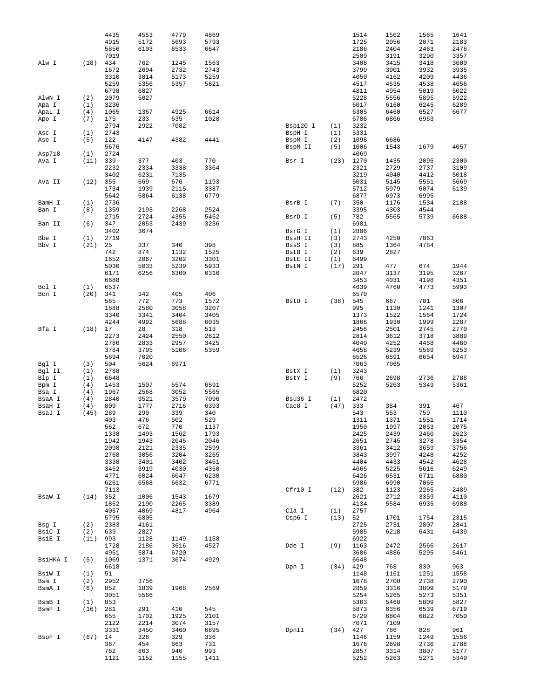|                |             | 4435         | 4553         | 4779         | 4869         |                   |            | 1514         | 1562         | 1565         | 1641         |
|----------------|-------------|--------------|--------------|--------------|--------------|-------------------|------------|--------------|--------------|--------------|--------------|
|                |             | 4915         | 5172         | 5693         | 5793         |                   |            | 1725         | 2056         | 2071         | 2183         |
|                |             | 5856<br>7019 | 6103         | 6533         | 6647         |                   |            | 2186<br>2509 | 2404<br>3191 | 2463<br>3290 | 2478         |
| Alw I          | (18)        | 434          | 762          | 1245         | 1563         |                   |            | 3408         | 3415         | 3418         | 3357<br>3680 |
|                |             | 1672         | 2694         | 2732         | 2743         |                   |            | 3799         | 3901         | 3932         | 3935         |
|                |             | 3310         | 3814         | 5173         | 5259         |                   |            | 4050         | 4162         | 4209         | 4436         |
|                |             | 5259         | 5356         | 5357         | 5821         |                   |            | 4517         | 4535         | 4538         | 4656         |
|                |             | 6798         | 6827         |              |              |                   |            | 4811         | 4954         | 5019         | 5022         |
| AlwN I         | (2)         | 2079         | 5027         |              |              |                   |            | 5228         | 5556         | 5895         | 5922         |
| Apa I          | (1)         | 3236         |              |              |              |                   |            | 6017         | 6160         | 6245         | 6289         |
| ApaL I         | (4)         | 1065         | 1367         | 4925         | 6614         |                   |            | 6305         | 6460         | 6527         | 6677         |
| Apo I          | (7)         | 175          | 233          | 635          | 1028         |                   |            | 6786         | 6866         | 6963         |              |
|                |             | 2794         | 2922         | 7082         |              | Bsp120 I          | (1)        | 3232         |              |              |              |
| Asc I          | (1)         | 2743         |              |              |              | BspH I            | (1)        | 5331         |              |              |              |
| Ase I          | (5)         | 122<br>5676  | 4147         | 4382         | 4441         | BspM I            | (2)<br>(5) | 1098<br>1006 | 6686<br>1543 | 1679         | 4057         |
| Asp718         | (1)         | 2724         |              |              |              | BspM II           |            | 4069         |              |              |              |
| Ava I          | (11)        | 339          | 377          | 403          | 770          | Bsr I             | (23)       | 1270         | 1435         | 2095         | 2300         |
|                |             | 2232         | 2334         | 3338         | 3364         |                   |            | 2321         | 2729         | 2737         | 3109         |
|                |             | 3402         | 6231         | 7135         |              |                   |            | 3219         | 4040         | 4412         | 5018         |
| Ava II         | (12)        | 355          | 669          | 676          | 1193         |                   |            | 5031         | 5145         | 5551         | 5669         |
|                |             | 1734         | 1939         | 2115         | 3387         |                   |            | 5712         | 5979         | 6074         | 6139         |
|                |             | 5642         | 5864         | 6138         | 6779         |                   |            | 6877         | 6973         | 6995         |              |
| BamH I         | (1)         | 2736         |              |              |              | BsrB I            | (7)        | 350          | 1176         | 1534         | 2188         |
| Ban I          | (8)         | 1359         | 2193         | 2268         | 2524         |                   |            | 3395         | 4303         | 4544         |              |
|                |             | 2715         | 2724         | 4355         | 5452         | BsrD I            | (5)        | 782          | 5565         | 5739         | 6688         |
| Ban II         | (6)         | 347          | 2053         | 2439         | 3236         |                   |            | 6981         |              |              |              |
|                |             | 3402<br>2719 | 3674         |              |              | BsrG I            | (1)        | 2806<br>2743 | 4250         | 7063         |              |
| Bbe I<br>Bbv I | (1)<br>(21) | 25           | 337          | 340          | 398          | BssH II<br>BssS I | (3)<br>(3) | 885          | 1364         | 4784         |              |
|                |             | 742          | 874          | 1132         | 1525         | BstB I            | (2)        | 639          | 2827         |              |              |
|                |             | 1652         | 2067         | 3202         | 3301         | BstE II           | (1)        | 6499         |              |              |              |
|                |             | 5030         | 5033         | 5239         | 5933         | BstN I            | (17)       | 291          | 477          | 674          | 1944         |
|                |             | 6171         | 6256         | 6300         | 6316         |                   |            | 2047         | 3137         | 3195         | 3267         |
|                |             | 6688         |              |              |              |                   |            | 3453         | 4031         | 4198         | 4351         |
| Bcl I          | (1)         | 6537         |              |              |              |                   |            | 4639         | 4760         | 4773         | 5993         |
| Bcn I          | (20)        | 341          | 342          | 405          | 406          |                   |            | 6570         |              |              |              |
|                |             | 565          | 772          | 773          | 1572         | BstU I            | (38)       | 545          | 667          | 701          | 806          |
|                |             | 1688         | 2580         | 3058         | 3207         |                   |            | 995          | 1130         | 1241         | 1307         |
|                |             | 3340         | 3341         | 3404         | 3405         |                   |            | 1373         | 1522         | 1564         | 1724         |
|                |             | 4244         | 4992         | 5688         | 6035         |                   |            | 1866         | 1930         | 1999         | 2287         |
| Bfa I          | (18)        | 17           | 28           | 318          | 513          |                   |            | 2456         | 2501         | 2745         | 2770         |
|                |             | 2273<br>2786 | 2424<br>2833 | 2550<br>2957 | 2612<br>3425 |                   |            | 2814<br>4049 | 3612<br>4252 | 3718<br>4458 | 3889<br>4460 |
|                |             | 3784         | 3795         | 5106         | 5359         |                   |            | 4658         | 5239         | 5569         | 6253         |
|                |             | 5694         | 7020         |              |              |                   |            | 6526         | 6591         | 6654         | 6947         |
| Bgl I          | (3)         | 504          | 5624         | 6971         |              |                   |            | 7063         | 7065         |              |              |
| Bgl II         | (1)         | 2788         |              |              |              | BstX I            | (1)        | 3243         |              |              |              |
| Blp I          | (1)         | 6648         |              |              |              | BstY I            | (9)        | 766          | 2698         | 2736         | 2788         |
| Bpm I          | (4)         | 1453         | 1507         | 5574         | 6591         |                   |            | 5252         | 5263         | 5349         | 5361         |
| Bsa I          | (4)         | 1967         | 2568         | 3052         | 5565         |                   |            | 6820         |              |              |              |
| BsaA I         | (4)         | 2840         | 3521         | 3579         | 7096         | Bsu36 I           | (1)        | 2472         |              |              |              |
| BsaH I         | (4)         | 809          | 1777         | 2716         | 6393         | Cac8 I            | (47)       | 333          | 384          | 391          | 467          |
| BsaJ I         | (45)        | 289          | 290          | 339          | 340          |                   |            | 543          | 553          | 759          | 1110         |
|                |             | 403<br>562   | 476<br>672   | 502<br>770   | 529<br>1137  |                   |            | 1311<br>1950 | 1371<br>1997 | 1551<br>2053 | 1714<br>2075 |
|                |             | 1338         | 1493         | 1562         | 1793         |                   |            | 2425         | 2439         | 2460         | 2623         |
|                |             | 1942         | 1943         | 2045         | 2046         |                   |            | 2651         | 2745         | 3278         | 3354         |
|                |             | 2098         | 2121         | 2335         | 2599         |                   |            | 3361         | 3412         | 3659         | 3756         |
|                |             | 2768         | 3056         | 3204         | 3265         |                   |            | 3843         | 3997         | 4248         | 4252         |
|                |             | 3338         | 3401         | 3402         | 3451         |                   |            | 4404         | 4433         | 4542         | 4628         |
|                |             | 3452         | 3919         | 4030         | 4350         |                   |            | 4665         | 5225         | 5616         | 6249         |
|                |             | 4771         | 6024         | 6047         | 6230         |                   |            | 6426         | 6531         | 6711         | 6880         |
|                |             | 6261         | 6568         | 6632         | 6771         |                   |            | 6986         | 6990         | 7065         |              |
|                |             | 7113         |              |              |              | Cfr10 I           |            | (12) 382     | 1123         | 2265         | 2489         |
| BsaW I         | (14)        | 352          | 1006         | 1543         | 1679         |                   |            | 2621         | 2712         | 3359         | 4110         |
|                |             | 1852<br>4057 | 2190<br>4069 | 2265<br>4817 | 3389<br>4964 | Cla I             | (1)        | 4134<br>2757 | 5584         | 6935         | 6988         |
|                |             | 5795         | 6805         |              |              | Csp6 I            | (13)       | 52           | 1701         | 1754         | 2315         |
| Bsg I          | (2)         | 2383         | 4161         |              |              |                   |            | 2725         | 2731         | 2807         | 2841         |
| BsiC I         | (2)         | 639          | 2827         |              |              |                   |            | 5985         | 6218         | 6431         | 6439         |
| BsiE I         | (11)        | 993          | 1128         | 1149         | 1158         |                   |            | 6922         |              |              |              |
|                |             | 1728         | 2186         | 3616         | 4527         | Dde I             | (9)        | 1163         | 2472         | 2566         | 2617         |
|                |             | 4951         | 5874         | 6720         |              |                   |            | 3686         | 4886         | 5295         | 5461         |
| BsiHKA I       | (5)         | 1069         | 1371         | 3674         | 4929         |                   |            | 6648         |              |              |              |
|                |             | 6618         |              |              |              | Dpn I             | (34)       | 429          | 768          | 830          | 963          |
| BsiW I         | (1)         | 51           |              |              |              |                   |            | 1148         | 1161         | 1251         | 1558         |
| Bsm I          | (2)         | 2952         | 3756         |              |              |                   |            | 1678         | 2700         | 2738         | 2790         |
| BsmA I         | (6)         | 852          | 1839         | 1968         | 2569         |                   |            | 2859         | 3316         | 3809         | 5179         |
|                |             | 3051         | 5566         |              |              |                   |            | 5254         | 5265         | 5273         | 5351         |
| BsmB I         | (1)         | 853          |              |              |              |                   |            | 5363         | 5468         | 5809         | 5827         |
| BsmF I         | (16)        | 281<br>655   | 291<br>1702  | 410<br>1925  | 545<br>2101  |                   |            | 5873<br>6729 | 6356<br>6804 | 6539<br>6822 | 6719<br>7050 |
|                |             | 2122         | 2214         | 3074         | 3157         |                   |            | 7071         | 7109         |              |              |
|                |             | 3331         | 3450         | 3460         | 6895         | DpnII             | (34)       | 427          | 766          | 828          | 961          |
| BsoF I         | (67)        | 14           | 326          | 329          | 336          |                   |            | 1146         | 1159         | 1249         | 1556         |
|                |             | 387          | 454          | 663          | 731          |                   |            | 1676         | 2698         | 2736         | 2788         |
|                |             | 762          | 863          | 940          | 993          |                   |            | 2857         | 3314         | 3807         | 5177         |
|                |             | 1121         | 1152         | 1155         | 1411         |                   |            | 5252         | 5263         | 5271         | 5349         |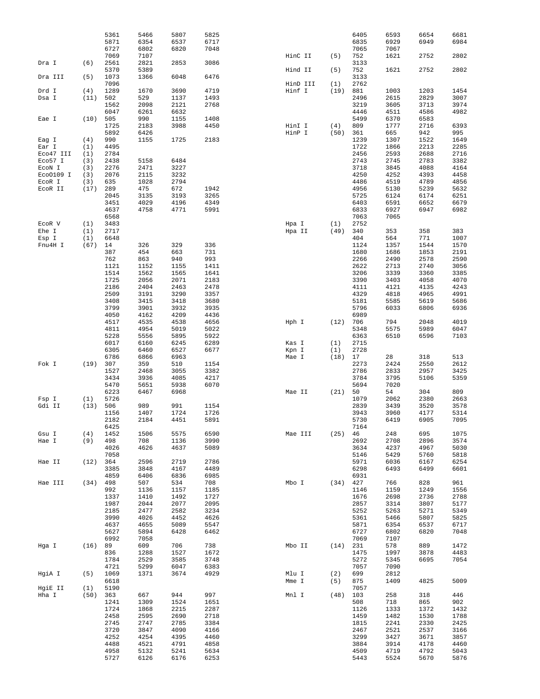|           |      | 5361        | 5466        | 5807         | 5825         |          |      | 6405         | 6593        | 6654         | 6681         |
|-----------|------|-------------|-------------|--------------|--------------|----------|------|--------------|-------------|--------------|--------------|
|           |      | 5871        | 6354        | 6537         | 6717         |          |      | 6835         | 6929        | 6949         | 6984         |
|           |      | 6727        | 6802        | 6820         | 7048         |          |      | 7065         | 7067        |              |              |
|           |      | 7069        | 7107        |              |              | HinC II  | (5)  | 752          | 1621        | 2752         | 2802         |
| Dra I     | (6)  | 2561        | 2821        | 2853         | 3086         |          |      | 3133         |             |              |              |
|           |      | 5370        | 5389        |              |              | Hind II  | (5)  | 752          | 1621        | 2752         | 2802         |
| Dra III   | (5)  | 1073        | 1366        | 6048         | 6476         |          |      | 3133         |             |              |              |
|           |      | 7096        |             |              |              | HinD III | (1)  | 2762         |             |              |              |
| Drd I     | (4)  | 1289        | 1670        | 3690         | 4719         | Hinf I   | (19) | 881          | 1003        | 1203         | 1454         |
| Dsa I     | (11) | 502         | 529         | 1137         | 1493         |          |      | 2496         | 2615        | 2829         | 3007         |
|           |      | 1562        | 2098        | 2121         | 2768         |          |      | 3219         | 3605        | 3713         | 3974         |
|           |      | 6047        | 6261        | 6632         |              |          |      | 4446         | 4511        | 4586         | 4982         |
| Eae I     | (10) | 505         | 990         | 1155         | 1408         |          |      | 5499         | 6370        | 6583         |              |
|           |      | 1725        | 2183        | 3988         | 4450         | HinI I   | (4)  | 809          | 1777        | 2716         | 6393         |
|           |      | 5892        | 6426        |              |              | HinP I   | (50) | 361          | 665         | 942          | 995          |
| Eag I     | (4)  | 990         | 1155        | 1725         | 2183         |          |      | 1239         | 1307        | 1522         | 1649         |
| Ear I     | (1)  | 4495        |             |              |              |          |      | 1722         | 1866        | 2213         | 2285         |
| Eco47 III | (1)  | 2784        |             |              |              |          |      | 2456         | 2593        | 2688         | 2716         |
| Eco57 I   | (3)  | 2438        | 5158        | 6484         |              |          |      | 2743         | 2745        | 2783         | 3382         |
| ECON I    | (3)  | 2276        | 2471        | 3227         |              |          |      | 3718         | 3845        | 4088         | 4164         |
| Eco0109 I | (3)  | 2076        | 2115        | 3232         |              |          |      | 4250         | 4252        | 4393         | 4458         |
| ECOR I    | (3)  | 635         | 1028        | 2794         |              |          |      | 4486         | 4519        | 4789         | 4856         |
| ECOR II   | (17) | 289         | 475         | 672          | 1942         |          |      | 4956         | 5130        | 5239         | 5632         |
|           |      | 2045        | 3135        | 3193         | 3265         |          |      | 5725         | 6124        | 6174         | 6251         |
|           |      | 3451        | 4029        | 4196         | 4349         |          |      | 6403         | 6591        | 6652         | 6679         |
|           |      | 4637        | 4758        | 4771         | 5991         |          |      | 6833         | 6927        | 6947         | 6982         |
|           |      | 6568        |             |              |              |          |      | 7063         | 7065        |              |              |
| ECOR V    | (1)  | 3483        |             |              |              | Hpa I    | (1)  | 2752         |             |              |              |
| Ehe I     | (1)  | 2717        |             |              |              | Hpa II   | (49) | 340          | 353         | 358          | 383          |
| Esp I     | (1)  | 6648        |             |              |              |          |      | 404          | 564         | 771          | 1007         |
| Fnu4H I   | (67) | 14          | 326         | 329          | 336          |          |      | 1124         | 1357        | 1544         | 1570         |
|           |      | 387         | 454         | 663          | 731          |          |      | 1680         | 1686        | 1853         | 2191         |
|           |      | 762         | 863         | 940          | 993          |          |      | 2266         | 2490        | 2578         | 2590         |
|           |      | 1121        | 1152        | 1155         | 1411         |          |      | 2622         | 2713        | 2740         | 3056         |
|           |      | 1514        | 1562        | 1565         | 1641         |          |      | 3206         | 3339        | 3360         | 3385         |
|           |      | 1725        | 2056        | 2071         | 2183         |          |      | 3390         | 3403        | 4058         | 4070         |
|           |      | 2186        | 2404        | 2463         | 2478         |          |      | 4111         | 4121        | 4135         | 4243         |
|           |      | 2509        | 3191        | 3290         | 3357         |          |      | 4329         | 4818        | 4965         | 4991         |
|           |      | 3408        | 3415        | 3418         | 3680         |          |      | 5181         | 5585        | 5619         | 5686         |
|           |      | 3799        | 3901        | 3932         | 3935         |          |      | 5796         | 6033        | 6806         | 6936         |
|           |      | 4050        | 4162        | 4209         | 4436         |          |      | 6989         |             |              |              |
|           |      | 4517        | 4535        | 4538         | 4656         | Hph I    | (12) | 706          | 794         | 2048         | 4019         |
|           |      | 4811        | 4954        | 5019         | 5022         |          |      | 5348         | 5575        | 5989         | 6047         |
|           |      | 5228        | 5556        | 5895         | 5922         |          |      | 6363         | 6510        | 6596         | 7103         |
|           |      | 6017        | 6160        | 6245         | 6289         | Kas I    | (1)  | 2715         |             |              |              |
|           |      | 6305        | 6460        | 6527         | 6677         | Kpn I    | (1)  | 2728         |             |              |              |
|           |      | 6786        | 6866        | 6963         |              | Mae I    | (18) | 17           | 28          | 318          | 513          |
| Fok I     | (19) | 307         | 359         | 510          | 1154         |          |      | 2273         | 2424        | 2550         | 2612         |
|           |      | 1527        | 2468        | 3055         | 3382         |          |      | 2786         | 2833        | 2957         | 3425         |
|           |      | 3434        | 3936        | 4085         | 4217         |          |      | 3784         | 3795        | 5106         | 5359         |
|           |      | 5470        | 5651        | 5938         | 6070         |          |      | 5694         | 7020        |              |              |
|           |      | 6223        | 6467        | 6968         |              | Mae II   | (21) | 50           | 54          | 304          | 809          |
| Fsp I     | (1)  | 5726        |             |              |              |          |      | 1079         | 2062        | 2380         | 2663         |
| Gdi II    | (13) | 506         | 989         | 991          | 1154         |          |      | 2839         | 3439        | 3520         | 3578         |
|           |      | 1156        | 1407        | 1724         | 1726         |          |      | 3943         | 3960        | 4177         | 5314         |
|           |      | 2182        | 2184        | 4451         | 5891         |          |      | 5730         | 6419        | 6905         | 7095         |
|           |      | 6425        |             |              |              |          |      | 7164         |             |              |              |
| Gsu I     | (4)  | 1452        | 1506        | 5575         | 6590         | Mae III  | (25) | 46           | 248<br>2708 | 695          | 1075         |
| Hae I     | (9)  | 498         | 708         | 1136         | 3990<br>5089 |          |      | 2692         |             | 2896         | 3574<br>5030 |
|           |      | 4026        | 4626        | 4637         |              |          |      |              |             |              |              |
|           |      | 7058        |             |              |              |          |      | 3634         | 4237        | 4967         |              |
| Hae II    |      |             |             |              |              |          |      | 5146         | 5429        | 5760         | 5818         |
|           | (12) | 364         | 2596        | 2719         | 2786         |          |      | 5971         | 6036        | 6167         | 6254         |
|           |      | 3385        | 3848        | 4167         | 4489         |          |      | 6298         | 6493        | 6499         | 6601         |
|           |      | 4859        | 6406        | 6836         | 6985         |          |      | 6931         |             |              |              |
| Hae III   | (34) | 498         | 507         | 534          | 708          | Mbo I    | (34) | 427          | 766         | 828          | 961          |
|           |      | 992         | 1136        | 1157         | 1185         |          |      | 1146         | 1159        | 1249         | 1556         |
|           |      | 1337        | 1410        | 1492         | 1727         |          |      | 1676         | 2698        | 2736         | 2788         |
|           |      | 1987        | 2044        | 2077         | 2095         |          |      | 2857         | 3314        | 3807         | 5177         |
|           |      | 2185        | 2477        | 2582         | 3234         |          |      | 5252         | 5263        | 5271         | 5349         |
|           |      | 3990        | 4026        | 4452         | 4626         |          |      | 5361         | 5466        | 5807         | 5825         |
|           |      | 4637        | 4655        | 5089         | 5547         |          |      | 5871         | 6354        | 6537         | 6717         |
|           |      | 5627        | 5894        | 6428         | 6462         |          |      | 6727         | 6802        | 6820         | 7048         |
|           |      | 6992        | 7058        |              |              |          |      | 7069         | 7107        |              |              |
| Hga I     | (16) | 89          | 609         | 706          | 738          | Mbo II   | (14) | 231          | 578         | 889          | 1472         |
|           |      | 836         | 1288        | 1527         | 1672         |          |      | 1475<br>5272 | 1997        | 3878<br>6695 | 4483         |
|           |      | 1784        | 2529        | 3585         | 3748         |          |      |              | 5345        |              | 7054         |
|           | (5)  | 4721        | 5299        | 6047         | 6383         |          |      | 7057         | 7090        |              |              |
| HgiA I    |      | 1069        | 1371        | 3674         | 4929         | Mlu I    | (2)  | 699          | 2812        |              |              |
|           |      | 6618        |             |              |              | Mme I    | (5)  | 875          | 1409        | 4825         | 5009         |
| HgiE II   | (1)  | 5190        |             |              |              |          |      | 7057         |             |              |              |
| Hha I     | (50) | 363<br>1241 | 667<br>1309 | 944          | 997<br>1651  | Mnl I    | (48) | 103          | 258<br>718  | 318          | 446          |
|           |      | 1724        | 1868        | 1524         |              |          |      | 508<br>1126  | 1333        | 865<br>1372  | 902          |
|           |      | 2458        | 2595        | 2215<br>2690 | 2287<br>2718 |          |      |              | 1482        | 1530         | 1432<br>1788 |
|           |      | 2745        | 2747        | 2785         | 3384         |          |      | 1459<br>1815 | 2241        | 2330         | 2425         |
|           |      | 3720        | 3847        | 4090         | 4166         |          |      | 2467         | 2521        | 2537         | 3166         |
|           |      | 4252        | 4254        | 4395         | 4460         |          |      | 3299         | 3427        |              |              |
|           |      | 4488        | 4521        | 4791         | 4858         |          |      | 3884         | 3914        | 3671<br>4178 | 3857<br>4460 |
|           |      | 4958        | 5132        | 5241         | 5634         |          |      | 4509         | 4719        | 4792         | 5043         |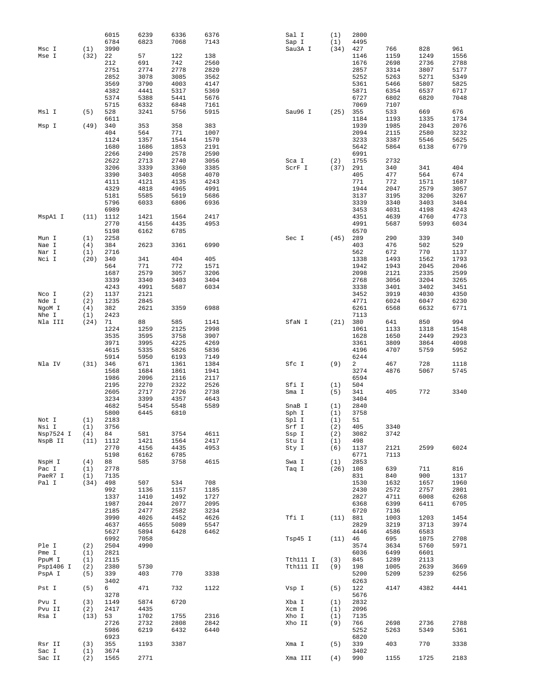|                    |            | 6015         | 6239         | 6336         | 6376         | Sal I          | (1)  | 2800         |              |      |      |
|--------------------|------------|--------------|--------------|--------------|--------------|----------------|------|--------------|--------------|------|------|
|                    |            | 6784         | 6823         | 7068         | 7143         | Sap I          | (1)  | 4495         |              |      |      |
| Msc I              | (1)        | 3990         |              |              |              | Sau3A I        | (34) | 427          | 766          | 828  | 961  |
| Mse I              | (32)       | 22           | 57           | 122          | 138          |                |      | 1146         | 1159         | 1249 | 1556 |
|                    |            | 212          | 691          | 742          | 2560         |                |      | 1676         | 2698         | 2736 | 2788 |
|                    |            | 2751         | 2774         | 2778         | 2820         |                |      | 2857         | 3314         | 3807 | 5177 |
|                    |            | 2852         | 3078         | 3085         | 3562         |                |      | 5252         | 5263         | 5271 | 5349 |
|                    |            | 3569         | 3790         | 4003         | 4147         |                |      | 5361         | 5466         | 5807 | 5825 |
|                    |            | 4382         | 4441         | 5317         | 5369         |                |      | 5871         | 6354         | 6537 | 6717 |
|                    |            | 5374         | 5388         | 5441         | 5676         |                |      | 6727         | 6802         | 6820 | 7048 |
|                    |            | 5715         | 6332         | 6848         | 7161         |                |      | 7069         | 7107         |      |      |
| Msl I              | (5)        | 528          | 3241         | 5756         | 5915         | Sau96 I        | (25) | 355          | 533          | 669  | 676  |
|                    |            | 6611         |              |              |              |                |      | 1184         | 1193         | 1335 | 1734 |
| Msp I              | (49)       | 340          | 353          | 358          | 383          |                |      | 1939         | 1985         | 2043 | 2076 |
|                    |            | 404          | 564          | 771          | 1007         |                |      | 2094         | 2115         | 2580 | 3232 |
|                    |            | 1124         | 1357         | 1544         | 1570         |                |      | 3233         | 3387         | 5546 | 5625 |
|                    |            | 1680         | 1686         | 1853         | 2191         |                |      | 5642         | 5864         | 6138 | 6779 |
|                    |            | 2266         | 2490         | 2578         | 2590         |                |      | 6991         |              |      |      |
|                    |            | 2622         | 2713         | 2740         | 3056         | Sca I          | (2)  | 1755         | 2732         |      |      |
|                    |            | 3206         | 3339         | 3360         | 3385         | ScrF I         | (37) | 291          | 340          | 341  | 404  |
|                    |            | 3390         | 3403         | 4058         | 4070         |                |      | 405          | 477          | 564  | 674  |
|                    |            | 4111         | 4121         | 4135         | 4243         |                |      | 771          | 772          | 1571 | 1687 |
|                    |            | 4329         | 4818         | 4965         | 4991         |                |      | 1944         | 2047         | 2579 | 3057 |
|                    |            | 5181         | 5585         | 5619         | 5686         |                |      | 3137         | 3195         | 3206 | 3267 |
|                    |            | 5796         | 6033         | 6806         | 6936         |                |      | 3339         | 3340         | 3403 | 3404 |
|                    |            | 6989         |              |              |              |                |      | 3453         | 4031         | 4198 | 4243 |
| MspAl I            | (11)       | 1112         | 1421         | 1564         | 2417         |                |      | 4351         | 4639         | 4760 | 4773 |
|                    |            | 2770         | 4156         | 4435         | 4953         |                |      | 4991         | 5687         | 5993 | 6034 |
|                    |            | 5198         | 6162         | 6785         |              |                |      | 6570         |              |      |      |
| Mun I              | (1)        | 2258         |              |              |              | Sec I          | (45) | 289          | 290          | 339  | 340  |
| Nae I              | (4)        | 384          | 2623         | 3361         | 6990         |                |      | 403          | 476          | 502  | 529  |
| Nar I              | (1)        | 2716         |              |              |              |                |      | 562          | 672          | 770  | 1137 |
| Nci I              | (20)       | 340          | 341          | 404          | 405          |                |      | 1338         | 1493         | 1562 | 1793 |
|                    |            | 564          | 771          | 772          | 1571         |                |      | 1942         | 1943         | 2045 | 2046 |
|                    |            | 1687         | 2579         | 3057         | 3206         |                |      | 2098         | 2121         | 2335 | 2599 |
|                    |            | 3339         | 3340         | 3403         | 3404         |                |      | 2768         | 3056         | 3204 | 3265 |
|                    |            | 4243         | 4991         | 5687         | 6034         |                |      | 3338         | 3401         | 3402 | 3451 |
| Nco I              | (2)        | 1137         | 2121         |              |              |                |      | 3452         | 3919         | 4030 | 4350 |
| Nde I              | (2)        | 1235         | 2845         |              |              |                |      | 4771         | 6024         | 6047 | 6230 |
| NgoM I             | (4)        | 382          | 2621         | 3359         | 6988         |                |      | 6261         | 6568         | 6632 | 6771 |
| Nhe I              | (1)        | 2423         |              |              |              |                |      | 7113         |              |      |      |
| Nla III            | (24)       | 71           | 88           | 585          | 1141         | SfaN I         | (21) | 380          | 641          | 850  | 994  |
|                    |            | 1224         | 1259         | 2125         | 2998         |                |      | 1061         | 1133         | 1318 | 1548 |
|                    |            | 3535         | 3595         | 3758         | 3907         |                |      | 1628         | 1650         | 2449 | 2923 |
|                    |            | 3971         | 3995         | 4225         | 4269         |                |      | 3361         | 3809         | 3864 | 4098 |
|                    |            | 4615         | 5335         | 5826         | 5836         |                |      | 4196         | 4707         | 5759 | 5952 |
|                    |            | 5914         | 5950         | 6193         | 7149         |                |      | 6244         |              |      |      |
| Nla IV             | (31)       | 346          | 671          | 1361         | 1384         | Sfc I          | (9)  | 2            | 467          | 728  | 1118 |
|                    |            | 1568         | 1684         | 1861         | 1941         |                |      | 3274         | 4876         | 5067 | 5745 |
|                    |            | 1986         | 2096         | 2116         | 2117         |                |      | 6594         |              |      |      |
|                    |            | 2195         | 2270         | 2322         | 2526         | Sfi I          | (1)  | 504          |              |      |      |
|                    |            | 2605         | 2717         | 2726         | 2738         | Sma I          | (5)  | 341          | 405          | 772  | 3340 |
|                    |            | 3234         | 3399         | 4357         | 4643         |                |      | 3404         |              |      |      |
|                    |            | 4682         | 5454         | 5548         | 5589         | SnaB I         | (1)  | 2840         |              |      |      |
|                    |            | 5800         | 6445         | 6810         |              | Sph I          | (1)  | 3758         |              |      |      |
| Not I              | (1)        | 2183         |              |              |              | Spl I          | (1)  | 51           |              |      |      |
| Nsi I<br>Nsp7524 I | (1)        | 3756         | 581          | 3754         | 4611         | Srf I          | (2)  | 405          | 3340         |      |      |
|                    | (4)        | 84           | 1421         |              |              | Ssp I<br>Stu I | (2)  | 3082         | 3742         |      |      |
| NspB II            | (11)       | 1112         |              | 1564<br>4435 | 2417<br>4953 |                | (1)  | 498          |              |      |      |
|                    |            | 2770<br>5198 | 4156<br>6162 | 6785         |              | Sty I          | (6)  | 1137         | 2121<br>7113 | 2599 | 6024 |
| NspH I             | (4)        | 88           | 585          | 3758         | 4615         | Swa I          | (1)  | 6771<br>2853 |              |      |      |
| Pac I              |            | 2778         |              |              |              | Taq I          | (26) | 108          | 639          | 711  | 816  |
| PaeR7 I            | (1)<br>(1) | 7135         |              |              |              |                |      | 831          | 840          | 900  | 1317 |
| Pal I              | (34)       | 498          | 507          | 534          | 708          |                |      | 1530         | 1632         | 1657 | 1960 |
|                    |            | 992          | 1136         | 1157         | 1185         |                |      | 2430         | 2572         | 2757 | 2801 |
|                    |            | 1337         | 1410         | 1492         | 1727         |                |      | 2827         | 4711         | 6008 | 6268 |
|                    |            | 1987         | 2044         | 2077         | 2095         |                |      | 6368         | 6399         | 6411 | 6705 |
|                    |            | 2185         | 2477         | 2582         | 3234         |                |      | 6720         | 7136         |      |      |
|                    |            | 3990         | 4026         | 4452         | 4626         | Tfi I          | (11) | 881          | 1003         | 1203 | 1454 |
|                    |            | 4637         | 4655         | 5089         | 5547         |                |      | 2829         | 3219         | 3713 | 3974 |
|                    |            | 5627         | 5894         | 6428         | 6462         |                |      | 4446         | 4586         | 6583 |      |
|                    |            | 6992         | 7058         |              |              | Tsp45 I        | (11) | 46           | 695          | 1075 | 2708 |
| Ple I              | (2)        | 2504         | 4990         |              |              |                |      | 3574         | 3634         | 5760 | 5971 |
| Pme I              | (1)        | 2821         |              |              |              |                |      | 6036         | 6499         | 6601 |      |
| PpuM I             | (1)        | 2115         |              |              |              | Tth111 I       | (3)  | 845          | 1289         | 2113 |      |
| Psp1406 I          | (2)        | 2380         | 5730         |              |              | Tth111 II      | (9)  | 198          | 1005         | 2639 | 3669 |
| PspA I             | (5)        | 339          | 403          | 770          | 3338         |                |      | 5200         | 5209         | 5239 | 6256 |
|                    |            | 3402         |              |              |              |                |      | 6263         |              |      |      |
| Pst I              | (5)        | 6            | 471          | 732          | 1122         | Vsp I          | (5)  | 122          | 4147         | 4382 | 4441 |
|                    |            | 3278         |              |              |              |                |      | 5676         |              |      |      |
| Pvu I              | (3)        | 1149         | 5874         | 6720         |              | Xba I          | (1)  | 2832         |              |      |      |
| Pvu II             | (2)        | 2417         | 4435         |              |              | Xcm I          | (1)  | 2096         |              |      |      |
| Rsa I              | (13)       | 53           | 1702         | 1755         | 2316         | Xho I          | (1)  | 7135         |              |      |      |
|                    |            | 2726         | 2732         | 2808         | 2842         | Xho II         | (9)  | 766          | 2698         | 2736 | 2788 |
|                    |            | 5986         | 6219         | 6432         | 6440         |                |      | 5252         | 5263         | 5349 | 5361 |
|                    |            | 6923         |              |              |              |                |      | 6820         |              |      |      |
| Rsr II             | (3)        | 355          | 1193         | 3387         |              | Xma I          | (5)  | 339          | 403          | 770  | 3338 |
| Sac I              | (1)        | 3674         |              |              |              |                |      | 3402         |              |      |      |
| Sac II             | (2)        | 1565         | 2771         |              |              | Xma III        | (4)  | 990          | 1155         | 1725 | 2183 |
|                    |            |              |              |              |              |                |      |              |              |      |      |